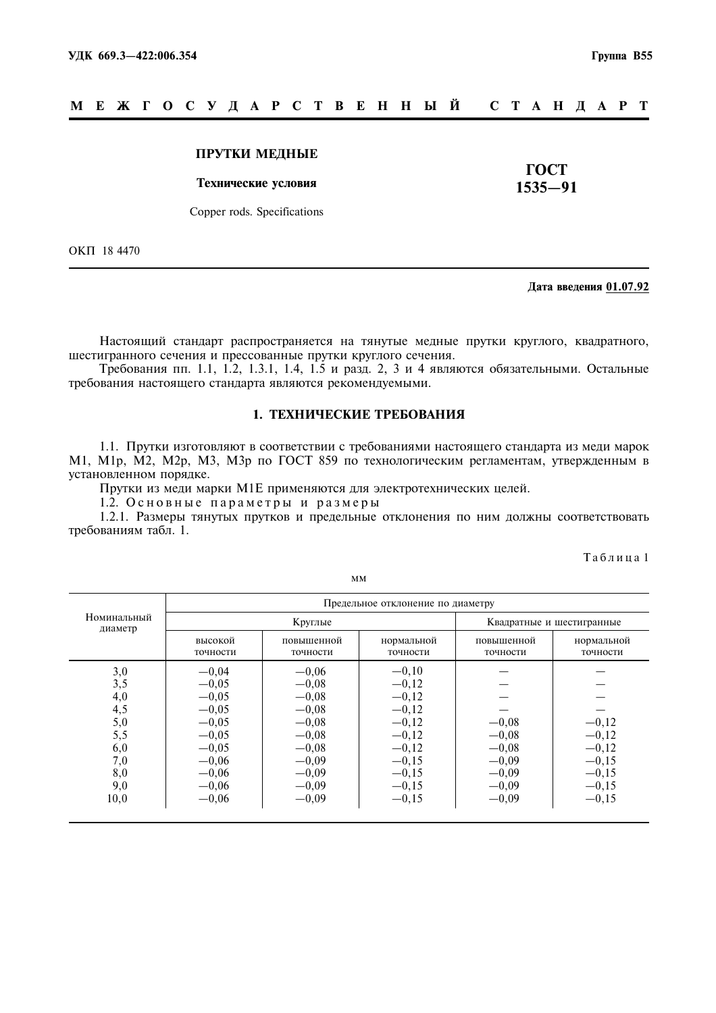#### M E **X T O C Y J A P C T B E H H Ы Й** C T A H J A P T

#### ПРУТКИ МЕЛНЫЕ

#### Технические условия

ГОСТ  $1535 - 91$ 

Copper rods. Specifications

OKIT 18 4470

#### Лата ввеления 01.07.92

Настоящий стандарт распространяется на тянутые медные прутки круглого, квадратного, шестигранного сечения и прессованные прутки круглого сечения.

Требования пп. 1.1, 1.2, 1.3.1, 1.4, 1.5 и разд. 2, 3 и 4 являются обязательными. Остальные требования настоящего стандарта являются рекомендуемыми.

#### 1. ТЕХНИЧЕСКИЕ ТРЕБОВАНИЯ

1.1. Прутки изготовляют в соответствии с требованиями настоящего стандарта из меди марок М1, М1р, М2, М2р, М3, М3р по ГОСТ 859 по технологическим регламентам, утвержденным в установленном порядке.

Прутки из меди марки М1Е применяются для электротехнических целей.

1.2. Основные параметры и размеры

1.2.1. Размеры тянутых прутков и предельные отклонения по ним должны соответствовать требованиям табл. 1.

Таблица 1

|                        | Предельное отклонение по диаметру |                        |                        |                        |                           |  |  |  |
|------------------------|-----------------------------------|------------------------|------------------------|------------------------|---------------------------|--|--|--|
| Номинальный<br>диаметр |                                   | Круглые                |                        |                        | Квадратные и шестигранные |  |  |  |
|                        | высокой<br>точности               | повышенной<br>точности | нормальной<br>точности | повышенной<br>точности | нормальной<br>точности    |  |  |  |
| 3,0                    | $-0,04$                           | $-0,06$                | $-0,10$                |                        |                           |  |  |  |
| 3,5                    | $-0.05$                           | $-0.08$                | $-0,12$                |                        |                           |  |  |  |
| 4,0                    | $-0,05$                           | $-0,08$                | $-0,12$                |                        |                           |  |  |  |
| 4,5                    | $-0,05$                           | $-0,08$                | $-0,12$                |                        |                           |  |  |  |
| 5,0                    | $-0.05$                           | $-0.08$                | $-0,12$                | $-0,08$                | $-0,12$                   |  |  |  |
| 5,5                    | $-0.05$                           | $-0.08$                | $-0,12$                | $-0.08$                | $-0.12$                   |  |  |  |
| 6,0                    | $-0,05$                           | $-0.08$                | $-0,12$                | $-0,08$                | $-0,12$                   |  |  |  |
| 7,0                    | $-0,06$                           | $-0,09$                | $-0,15$                | $-0,09$                | $-0,15$                   |  |  |  |
| 8,0                    | $-0,06$                           | $-0,09$                | $-0,15$                | $-0.09$                | $-0,15$                   |  |  |  |
| 9,0                    | $-0,06$                           | $-0,09$                | $-0,15$                | $-0.09$                | $-0.15$                   |  |  |  |
| 10,0                   | $-0,06$                           | $-0,09$                | $-0,15$                | $-0,09$                | $-0,15$                   |  |  |  |

**MM**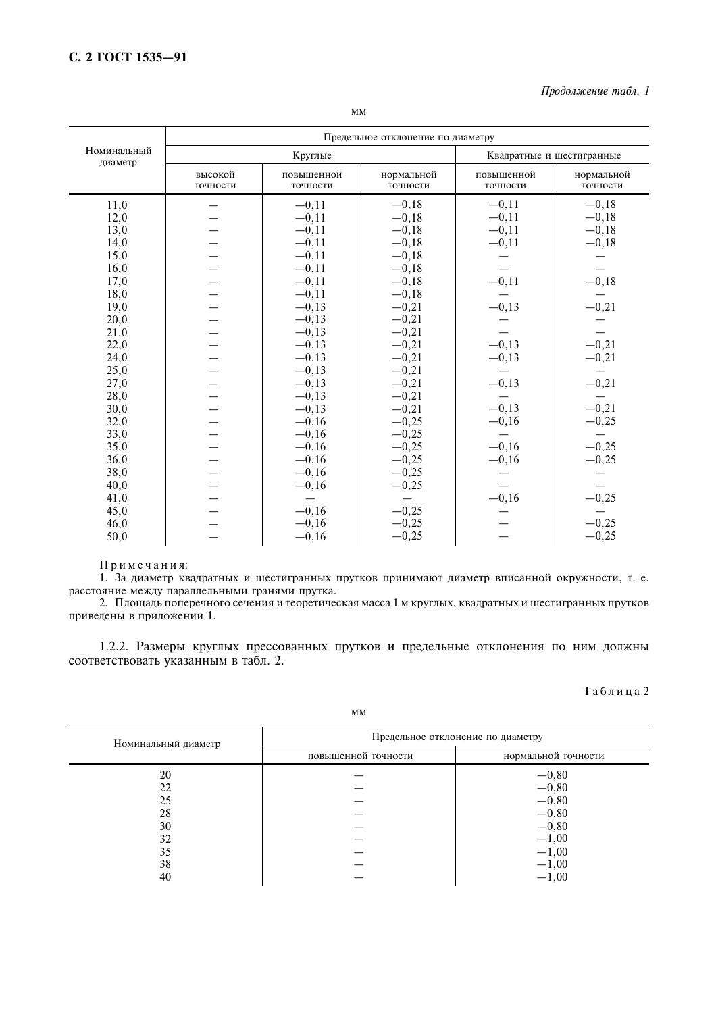|                        | Предельное отклонение по диаметру |                        |                        |                        |                           |  |  |
|------------------------|-----------------------------------|------------------------|------------------------|------------------------|---------------------------|--|--|
| Номинальный<br>диаметр | Круглые                           |                        |                        |                        | Квадратные и шестигранные |  |  |
|                        | высокой<br>точности               | повышенной<br>точности | нормальной<br>точности | повышенной<br>точности | нормальной<br>точности    |  |  |
| 11,0                   |                                   | $-0,11$                | $-0,18$                | $-0,11$                | $-0,18$                   |  |  |
| 12,0                   |                                   | $-0,11$                | $-0,18$                | $-0,11$                | $-0,18$                   |  |  |
| 13,0                   |                                   | $-0,11$                | $-0,18$                | $-0,11$                | $-0,18$                   |  |  |
| 14,0                   |                                   | $-0,11$                | $-0,18$                | $-0,11$                | $-0,18$                   |  |  |
| 15,0                   |                                   | $-0,11$                | $-0,18$                |                        |                           |  |  |
| 16,0                   |                                   | $-0,11$                | $-0,18$                |                        |                           |  |  |
| 17,0                   |                                   | $-0,11$                | $-0,18$                | $-0,11$                | $-0,18$                   |  |  |
| 18,0                   |                                   | $-0,11$                | $-0,18$                |                        |                           |  |  |
| 19,0                   |                                   | $-0,13$                | $-0,21$                | $-0,13$                | $-0,21$                   |  |  |
| 20,0                   |                                   | $-0,13$                | $-0,21$                |                        |                           |  |  |
| 21,0                   |                                   | $-0,13$                | $-0,21$                |                        |                           |  |  |
| 22,0                   |                                   | $-0,13$                | $-0,21$                | $-0,13$                | $-0,21$<br>$-0,21$        |  |  |
| 24,0                   |                                   | $-0,13$                | $-0,21$                | $-0,13$                |                           |  |  |
| 25,0                   |                                   | $-0,13$                | $-0,21$                |                        |                           |  |  |
| 27,0                   |                                   | $-0,13$                | $-0,21$                | $-0,13$                | $-0,21$                   |  |  |
| 28,0                   |                                   | $-0,13$                | $-0,21$                |                        |                           |  |  |
| 30,0                   |                                   | $-0,13$                | $-0,21$                | $-0,13$                | $-0,21$                   |  |  |
| 32,0                   |                                   | $-0,16$                | $-0,25$                | $-0,16$                | $-0,25$                   |  |  |
| 33,0                   |                                   | $-0,16$                | $-0,25$                |                        |                           |  |  |
| 35,0                   |                                   | $-0,16$                | $-0,25$                | $-0,16$                | $-0,25$                   |  |  |
| 36,0                   |                                   | $-0,16$                | $-0,25$                | $-0,16$                | $-0,25$                   |  |  |
| 38,0                   |                                   | $-0,16$                | $-0,25$                |                        |                           |  |  |
| 40,0                   |                                   | $-0,16$                | $-0,25$                |                        |                           |  |  |
| 41,0                   |                                   |                        |                        | $-0,16$                | $-0,25$                   |  |  |
| 45,0                   |                                   | $-0,16$                | $-0,25$                |                        |                           |  |  |
| 46,0                   |                                   | $-0,16$                | $-0,25$                |                        | $-0,25$                   |  |  |
| 50,0                   |                                   | $-0,16$                | $-0,25$                |                        | $-0,25$                   |  |  |

Примечания:

1. За диаметр квадратных и шестигранных прутков принимают диаметр вписанной окружности, т. е. расстояние между параллельными гранями прутка.

2. Площадь поперечного сечения и теоретическая масса 1 м круглых, квадратных и шестигранных прутков приведены в приложении 1.

1.2.2. Размеры круглых прессованных прутков и предельные отклонения по ним должны соответствовать указанным в табл. 2.

Таблица 2

| Номинальный диаметр | Предельное отклонение по диаметру |                     |  |  |
|---------------------|-----------------------------------|---------------------|--|--|
|                     | повышенной точности               | нормальной точности |  |  |
| 20                  |                                   | $-0,80$             |  |  |
| 22                  |                                   | $-0,80$             |  |  |
| 25                  |                                   | $-0,80$             |  |  |
| 28                  |                                   | $-0,80$             |  |  |
| 30                  |                                   | $-0,80$             |  |  |
| 32                  |                                   | $-1,00$             |  |  |
| 35                  |                                   | $-1,00$             |  |  |
| 38                  |                                   | $-1,00$             |  |  |
| 40                  |                                   | $-1,00$             |  |  |

 $MM$ 

 $\top$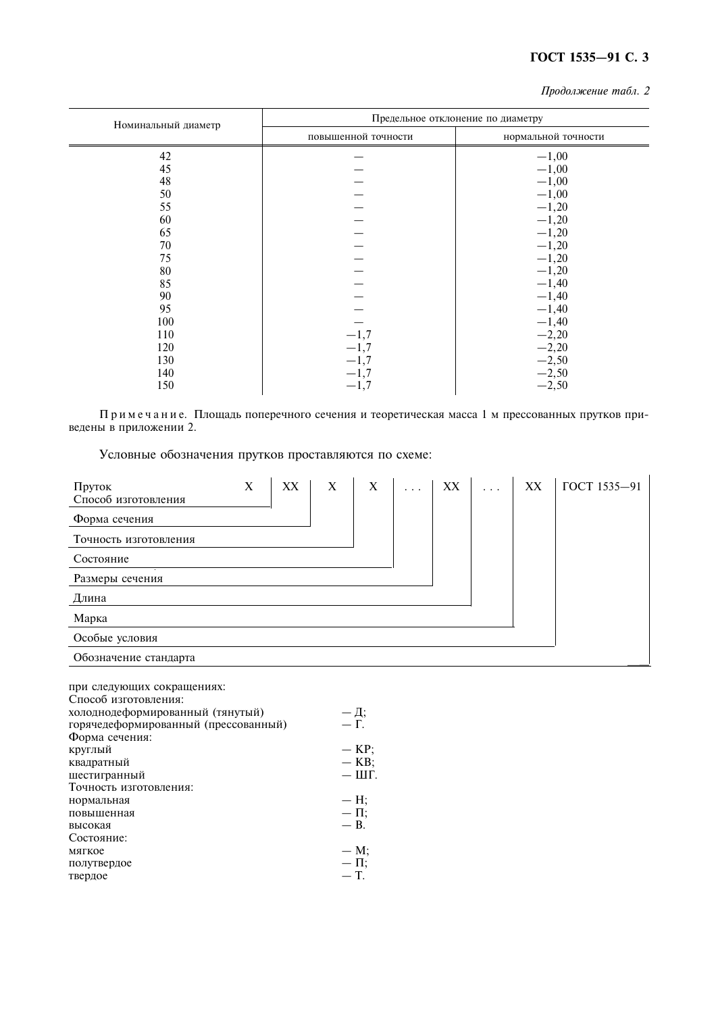## ГОСТ 1535-91 С. 3

Продолжение табл. 2

| Номинальный диаметр | Предельное отклонение по диаметру |                     |  |  |  |
|---------------------|-----------------------------------|---------------------|--|--|--|
|                     | повышенной точности               | нормальной точности |  |  |  |
| 42                  |                                   | $-1,00$             |  |  |  |
| 45                  |                                   | $-1,00$             |  |  |  |
| 48                  |                                   | $-1,00$             |  |  |  |
| 50                  |                                   | $-1,00$             |  |  |  |
| 55                  |                                   | $-1,20$             |  |  |  |
| 60                  |                                   | $-1,20$             |  |  |  |
| 65                  |                                   | $-1,20$             |  |  |  |
| 70                  |                                   | $-1,20$             |  |  |  |
| 75                  |                                   | $-1,20$             |  |  |  |
| 80                  |                                   | $-1,20$             |  |  |  |
| 85                  |                                   | $-1,40$             |  |  |  |
| 90                  |                                   | $-1,40$             |  |  |  |
| 95                  |                                   | $-1,40$             |  |  |  |
| 100                 |                                   | $-1,40$             |  |  |  |
| 110                 | $-1,7$                            | $-2,20$             |  |  |  |
| 120                 | $-1,7$                            | $-2,20$             |  |  |  |
| 130                 | $-1,7$                            | $-2,50$             |  |  |  |
| 140                 | $-1,7$                            | $-2,50$             |  |  |  |
| 150                 | $-1,7$                            | $-2,50$             |  |  |  |

 $\Pi$ римечание. Площадь поперечного сечения и теоретическая масса 1 м прессованных прутков приведены в приложении 2.

Условные обозначения прутков проставляются по схеме:

| Пруток<br>Способ изготовления                                                                                                                                                                                                                   | $\mathbf X$ | XX | $\mathbf X$ | $\mathbf X$                                                                   | . | XX | XX | ГОСТ 1535-91 |
|-------------------------------------------------------------------------------------------------------------------------------------------------------------------------------------------------------------------------------------------------|-------------|----|-------------|-------------------------------------------------------------------------------|---|----|----|--------------|
| Форма сечения                                                                                                                                                                                                                                   |             |    |             |                                                                               |   |    |    |              |
| Точность изготовления                                                                                                                                                                                                                           |             |    |             |                                                                               |   |    |    |              |
| Состояние                                                                                                                                                                                                                                       |             |    |             |                                                                               |   |    |    |              |
| Размеры сечения                                                                                                                                                                                                                                 |             |    |             |                                                                               |   |    |    |              |
| Длина                                                                                                                                                                                                                                           |             |    |             |                                                                               |   |    |    |              |
| Марка                                                                                                                                                                                                                                           |             |    |             |                                                                               |   |    |    |              |
| Особые условия                                                                                                                                                                                                                                  |             |    |             |                                                                               |   |    |    |              |
| Обозначение стандарта                                                                                                                                                                                                                           |             |    |             |                                                                               |   |    |    |              |
| при следующих сокращениях:<br>Способ изготовления:<br>холоднодеформированный (тянутый)<br>горячедеформированный (прессованный)<br>Форма сечения:<br>круглый<br>квадратный<br>шестигранный<br>Точность изготовления:<br>нормальная<br>повышенная |             |    |             | $-\frac{\pi}{\Gamma}$<br>$-$ KP;<br>$-$ KB;<br>$ III$ .<br>$- H;$<br>$-\Pi$ ; |   |    |    |              |
| высокая                                                                                                                                                                                                                                         |             |    |             | $- B$ .                                                                       |   |    |    |              |
| Состояние:<br>мягкое                                                                                                                                                                                                                            |             |    |             | $- M;$                                                                        |   |    |    |              |
| полутвердое                                                                                                                                                                                                                                     |             |    |             | $-\Pi$ ;                                                                      |   |    |    |              |
| твердое                                                                                                                                                                                                                                         |             |    |             | $-\mathsf{T}$ .                                                               |   |    |    |              |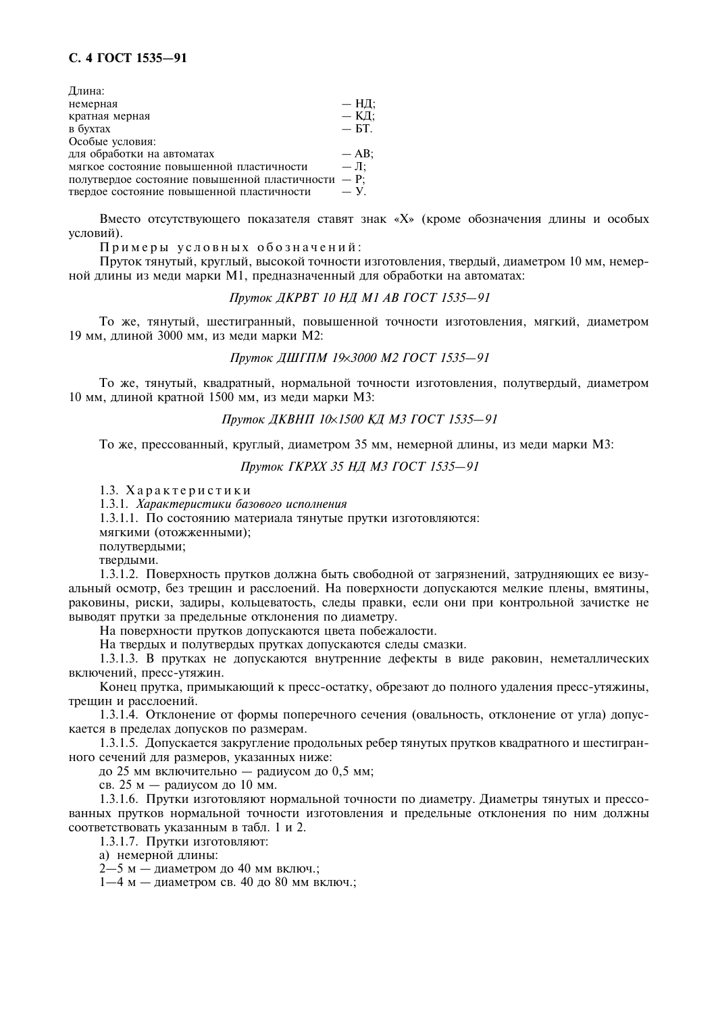### С. 4 ГОСТ 1535-91

| Длина:                                             |                 |
|----------------------------------------------------|-----------------|
| немерная                                           | — НД:           |
| кратная мерная                                     | — КД:           |
| в бухтах                                           | $-$ 6T.         |
| Особые условия:                                    |                 |
| для обработки на автоматах                         | $-$ AB;         |
| мягкое состояние повышенной пластичности           | $-\mathbf{J}$ : |
| полутвердое состояние повышенной пластичности - P; |                 |
| твердое состояние повышенной пластичности          | $-\mathbf{y}$ . |

Вместо отсутствующего показателя ставят знак «Х» (кроме обозначения длины и особых условий).

Примеры условных обозначений:

Пруток тянутый, круглый, высокой точности изготовления, твердый, диаметром 10 мм, немерной длины из меди марки M1, предназначенный для обработки на автоматах:

#### Пруток ДКРВТ 10 НД М1 АВ ГОСТ 1535-91

То же, тянутый, шестигранный, повышенной точности изготовления, мягкий, диаметром 19 мм, длиной 3000 мм, из меди марки М2:

#### Пруток ДШГПМ 19х3000 М2 ГОСТ 1535-91

То же, тянутый, квадратный, нормальной точности изготовления, полутвердый, диаметром 10 мм, длиной кратной 1500 мм, из меди марки М3:

#### Пруток ДКВНП 10х1500 КД МЗ ГОСТ 1535-91

То же, прессованный, круглый, диаметром 35 мм, немерной длины, из меди марки М3;

Пруток ГКРХХ 35 НЛ МЗ ГОСТ 1535-91

1.3. Характеристики

1.3.1. Характеристики базового исполнения

1.3.1.1. По состоянию материала тянутые прутки изготовляются:

мягкими (отожженными);

полутвердыми;

твердыми.

1.3.1.2. Поверхность прутков должна быть свободной от загрязнений, затрудняющих ее визуальный осмотр, без трешин и расслоений. На поверхности допускаются мелкие плены, вмятины, раковины, риски, задиры, кольцеватость, следы правки, если они при контрольной зачистке не выводят прутки за предельные отклонения по диаметру.

На поверхности прутков допускаются цвета побежалости.

На твердых и полутвердых прутках допускаются следы смазки.

1.3.1.3. В прутках не допускаются внутренние дефекты в виде раковин, неметаллических включений, пресс-утяжин.

Конец прутка, примыкающий к пресс-остатку, обрезают до полного удаления пресс-утяжины, трещин и расслоений.

1.3.1.4. Отклонение от формы поперечного сечения (овальность, отклонение от угла) допускается в пределах допусков по размерам.

1.3.1.5. Допускается закругление продольных ребер тянутых прутков квадратного и шестигранного сечений для размеров, указанных ниже:

до 25 мм включительно — радиусом до 0,5 мм;

св. 25 м — радиусом до 10 мм.

1.3.1.6. Прутки изготовляют нормальной точности по диаметру. Диаметры тянутых и прессованных прутков нормальной точности изготовления и предельные отклонения по ним должны соответствовать указанным в табл. 1 и 2.

1.3.1.7. Прутки изготовляют:

а) немерной длины:

 $2 - 5$  м – диаметром до 40 мм включ.;

 $1-4$  м – лиаметром св. 40 ло 80 мм включ.: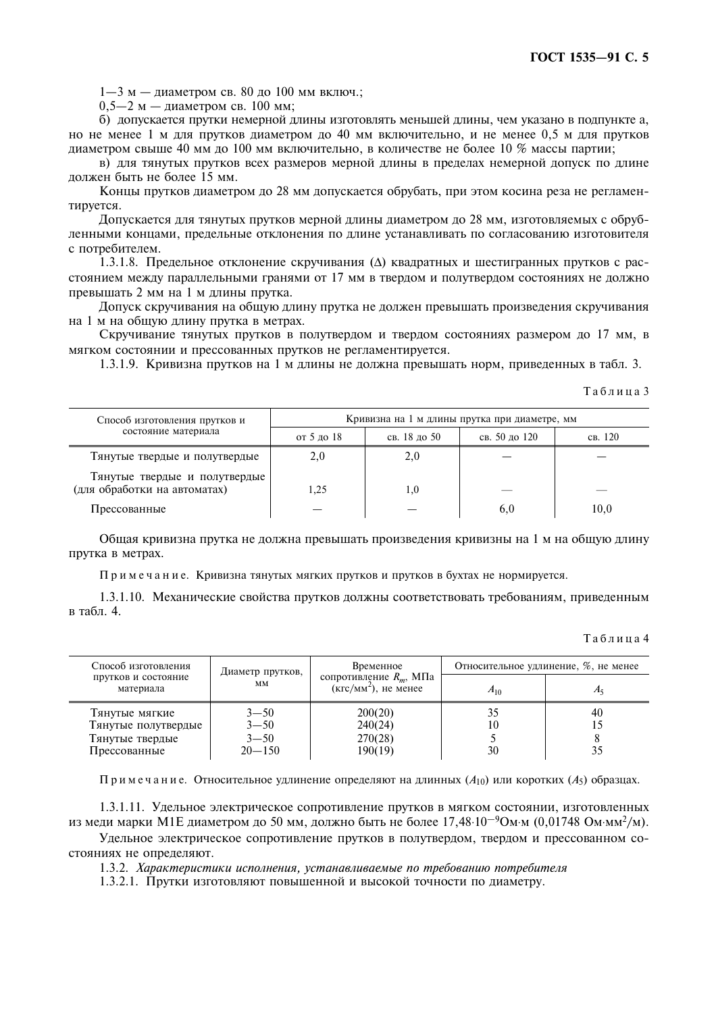$1-3$  м — лиаметром св. 80 ло 100 мм включ.:

 $0.5-2$  м — диаметром св. 100 мм;

б) допускается прутки немерной длины изготовлять меньшей длины, чем указано в подпункте а, но не менее 1 м для прутков диаметром до 40 мм включительно, и не менее 0,5 м для прутков лиаметром свыше 40 мм до 100 мм включительно, в количестве не более 10 % массы партии;

в) для тянутых прутков всех размеров мерной длины в пределах немерной допуск по длине должен быть не более 15 мм.

Концы прутков диаметром до 28 мм допускается обрубать, при этом косина реза не регламентируется.

Лопускается лля тянутых прутков мерной ллины лиаметром ло 28 мм, изготовляемых с обрубленными концами, предельные отклонения по длине устанавливать по согласованию изготовителя с потребителем.

1.3.1.8. Предельное отклонение скручивания ( $\Delta$ ) квадратных и шестигранных прутков с расстоянием между параллельными гранями от 17 мм в твердом и полутвердом состояниях не должно превышать 2 мм на 1 м длины прутка.

Допуск скручивания на общую длину прутка не должен превышать произведения скручивания на 1 м на общую длину прутка в метрах.

Скручивание тянутых прутков в полутвердом и твердом состояниях размером до 17 мм, в мягком состоянии и прессованных прутков не регламентируется.

1.3.1.9. Кривизна прутков на 1 м длины не должна превышать норм, приведенных в табл. 3.

Таблина 3

| Способ изготовления прутков и                                 | Кривизна на 1 м длины прутка при диаметре, мм |              |               |         |  |  |
|---------------------------------------------------------------|-----------------------------------------------|--------------|---------------|---------|--|--|
| состояние материала                                           | от 5 до 18                                    | св. 18 до 50 | св. 50 до 120 | св. 120 |  |  |
| Тянутые твердые и полутвердые                                 | 2,0                                           | 2,0          |               |         |  |  |
| Тянутые твердые и полутвердые<br>(для обработки на автоматах) | 1.25                                          | 1.0          | ___           |         |  |  |
| Прессованные                                                  |                                               |              | 6,0           | 10,0    |  |  |

Общая кривизна прутка не должна превышать произведения кривизны на 1 м на общую длину прутка в метрах.

Примечание. Кривизна тянутых мягких прутков и прутков в бухтах не нормируется.

1.3.1.10. Механические свойства прутков должны соответствовать требованиям, приведенным в табл. 4.

Таблина 4

| Способ изготовления              | Диаметр прутков, | Временное                                            |          | Относительное удлинение, %, не менее |  |  |
|----------------------------------|------------------|------------------------------------------------------|----------|--------------------------------------|--|--|
| прутков и состояние<br>материала | MM               | сопротивление $R_m$ , МПа<br>$(KTC/MM^2)$ , не менее | $A_{10}$ | $A_5$                                |  |  |
| Тянутые мягкие                   | $3 - 50$         | 200(20)                                              | 35       | 40                                   |  |  |
| Тянутые полутвердые              | $3 - 50$         | 240(24)                                              | 10       |                                      |  |  |
| Тянутые твердые                  | $3 - 50$         | 270(28)                                              |          |                                      |  |  |
| Прессованные                     | $20 - 150$       | 190(19)                                              | 30       | 35                                   |  |  |

Примечание. Относительное удлинение определяют на длинных  $(A_{10})$  или коротких  $(A_5)$  образцах.

1.3.1.11. Удельное электрическое сопротивление прутков в мягком состоянии, изготовленных из меди марки М1Е диаметром до 50 мм, должно быть не более 17,48 $\cdot 10^{-9}$ Ом $\cdot$ м (0,01748 Ом $\cdot$ мм<sup>2</sup>/м).

Удельное электрическое сопротивление прутков в полутвердом, твердом и прессованном состояниях не определяют.

1.3.2. Характеристики исполнения, устанавливаемые по требованию потребителя

1.3.2.1. Прутки изготовляют повышенной и высокой точности по диаметру.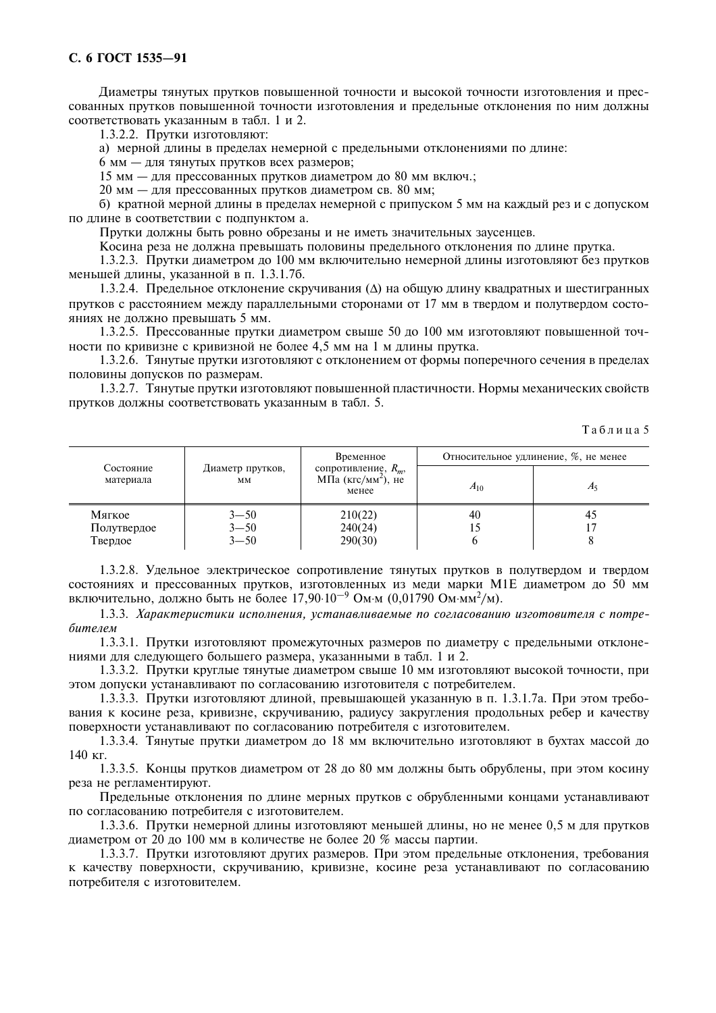### С. 6 ГОСТ 1535-91

Диаметры тянутых прутков повышенной точности и высокой точности изготовления и прессованных прутков повышенной точности изготовления и предельные отклонения по ним должны соответствовать указанным в табл. 1 и 2.

1.3.2.2. Прутки изготовляют:

а) мерной длины в пределах немерной с предельными отклонениями по длине:

6 мм - для тянутых прутков всех размеров;

15 мм - для прессованных прутков диаметром до 80 мм включ.;

20 мм - для прессованных прутков диаметром св. 80 мм;

б) кратной мерной длины в пределах немерной с припуском 5 мм на каждый рез и с допуском по длине в соответствии с подпунктом а.

Прутки должны быть ровно обрезаны и не иметь значительных заусенцев.

Косина реза не лолжна превышать половины прелельного отклонения по ллине прутка.

1.3.2.3. Прутки диаметром до 100 мм включительно немерной длины изготовляют без прутков меньшей длины, указанной в п. 1.3.1.76.

1.3.2.4. Предельное отклонение скручивания ( $\Delta$ ) на общую длину квадратных и шестигранных прутков с расстоянием между параллельными сторонами от 17 мм в твердом и полутвердом состояниях не лолжно превышать 5 мм.

1.3.2.5. Прессованные прутки диаметром свыше 50 до 100 мм изготовляют повышенной точности по кривизне с кривизной не более 4,5 мм на 1 м длины прутка.

1.3.2.6. Тянутые прутки изготовляют с отклонением от формы поперечного сечения в пределах половины допусков по размерам.

1.3.2.7. Тянутые прутки изготовляют повышенной пластичности. Нормы механических свойств прутков должны соответствовать указанным в табл. 5.

Таблина 5

|                      | Временное                    |                                                                     | Относительное удлинение, %, не менее |
|----------------------|------------------------------|---------------------------------------------------------------------|--------------------------------------|
| MM                   | менее                        | $A_{10}$                                                            | $A\varsigma$                         |
| $3 - 50$<br>$3 - 50$ | 210(22)<br>240(24)           | 40<br>L5                                                            | 45                                   |
|                      | Диаметр прутков,<br>$3 - 50$ | сопротивление, $R_m$ ,<br>MПа (кгс/мм <sup>2</sup> ), не<br>290(30) |                                      |

1.3.2.8. Удельное электрическое сопротивление тянутых прутков в полутвердом и твердом состояниях и прессованных прутков, изготовленных из меди марки M1E диаметром до 50 мм включительно, должно быть не более  $17,90 \cdot 10^{-9}$  Ом м  $(0,01790 \text{ OM} \cdot \text{mm}^2/\text{M})$ .

1.3.3. Характеристики исполнения, устанавливаемые по согласованию изготовителя с потребителем

1.3.3.1. Прутки изготовляют промежуточных размеров по диаметру с предельными отклонениями для следующего большего размера, указанными в табл. 1 и 2.

1.3.3.2. Прутки круглые тянутые диаметром свыше 10 мм изготовляют высокой точности, при этом допуски устанавливают по согласованию изготовителя с потребителем.

1.3.3.3. Прутки изготовляют длиной, превышающей указанную в п. 1.3.1.7а. При этом требования к косине реза, кривизне, скручиванию, радиусу закругления продольных ребер и качеству поверхности устанавливают по согласованию потребителя с изготовителем.

1.3.3.4. Тянутые прутки диаметром до 18 мм включительно изготовляют в бухтах массой до 140 кг.

1.3.3.5. Концы прутков диаметром от 28 до 80 мм должны быть обрублены, при этом косину реза не регламентируют.

Предельные отклонения по длине мерных прутков с обрубленными концами устанавливают по согласованию потребителя с изготовителем.

1.3.3.6. Прутки немерной длины изготовляют меньшей длины, но не менее 0,5 м для прутков диаметром от 20 до 100 мм в количестве не более 20 % массы партии.

1.3.3.7. Прутки изготовляют других размеров. При этом предельные отклонения, требования к качеству поверхности, скручиванию, кривизне, косине реза устанавливают по согласованию потребителя с изготовителем.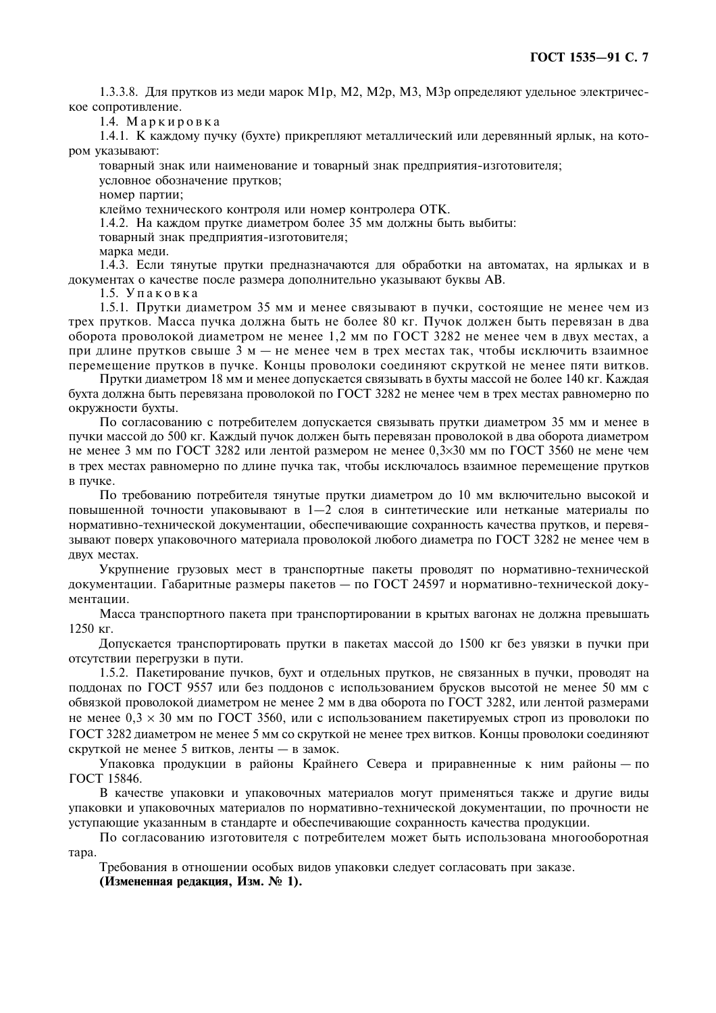1.3.3.8. Для прутков из меди марок М1р, М2, М2р, М3, М3р определяют удельное электрическое сопротивление.

1.4. Маркировка

1.4.1. К каждому пучку (бухте) прикрепляют металлический или деревянный ярлык, на котором указывают:

товарный знак или наименование и товарный знак предприятия-изготовителя; условное обозначение прутков:

номер партии;

клеймо технического контроля или номер контролера ОТК.

1.4.2. На каждом прутке диаметром более 35 мм должны быть выбиты:

товарный знак предприятия-изготовителя;

марка меди.

1.4.3. Если тянутые прутки предназначаются для обработки на автоматах, на ярлыках и в документах о качестве после размера дополнительно указывают буквы АВ.

1.5. Упаковка

1.5.1. Прутки диаметром 35 мм и менее связывают в пучки, состоящие не менее чем из трех прутков. Масса пучка должна быть не более 80 кг. Пучок должен быть перевязан в два оборота проволокой диаметром не менее 1,2 мм по ГОСТ 3282 не менее чем в двух местах, а при длине прутков свыше 3 м — не менее чем в трех местах так, чтобы исключить взаимное перемещение прутков в пучке. Концы проволоки соединяют скруткой не менее пяти витков.

Прутки диаметром 18 мм и менее допускается связывать в бухты массой не более 140 кг. Каждая бухта должна быть перевязана проволокой по ГОСТ 3282 не менее чем в трех местах равномерно по окружности бухты.

По согласованию с потребителем допускается связывать прутки диаметром 35 мм и менее в пучки массой до 500 кг. Каждый пучок должен быть перевязан проволокой в два оборота диаметром не менее 3 мм по ГОСТ 3282 или лентой размером не менее 0,3×30 мм по ГОСТ 3560 не мене чем в трех местах равномерно по длине пучка так, чтобы исключалось взаимное перемещение прутков в пучке.

По требованию потребителя тянутые прутки диаметром до 10 мм включительно высокой и повышенной точности упаковывают в 1-2 слоя в синтетические или нетканые материалы по нормативно-технической документации, обеспечивающие сохранность качества прутков, и перевязывают поверх упаковочного материала проволокой любого диаметра по ГОСТ 3282 не менее чем в двух местах.

Укрупнение грузовых мест в транспортные пакеты проводят по нормативно-технической локументации. Габаритные размеры пакетов — по ГОСТ 24597 и нормативно-технической локументации.

Масса транспортного пакета при транспортировании в крытых вагонах не должна превышать  $1250$  KT.

Допускается транспортировать прутки в пакетах массой до 1500 кг без увязки в пучки при отсутствии перегрузки в пути.

1.5.2. Пакетирование пучков, бухт и отдельных прутков, не связанных в пучки, проводят на поддонах по ГОСТ 9557 или без поддонов с использованием брусков высотой не менее 50 мм с обвязкой проволокой диаметром не менее 2 мм в два оборота по ГОСТ 3282, или лентой размерами не менее  $0.3 \times 30$  мм по ГОСТ 3560, или с использованием пакетируемых строп из проволоки по ГОСТ 3282 диаметром не менее 5 мм со скруткой не менее трех витков. Концы проволоки соединяют скруткой не менее 5 витков, ленты - в замок.

Упаковка продукции в районы Крайнего Севера и приравненные к ним районы — по ГОСТ 15846.

В качестве упаковки и упаковочных материалов могут применяться также и другие виды упаковки и упаковочных материалов по нормативно-технической документации, по прочности не уступающие указанным в стандарте и обеспечивающие сохранность качества продукции.

По согласованию изготовителя с потребителем может быть использована многооборотная Tapa.

Требования в отношении особых видов упаковки следует согласовать при заказе.

(Измененная редакция, Изм. № 1).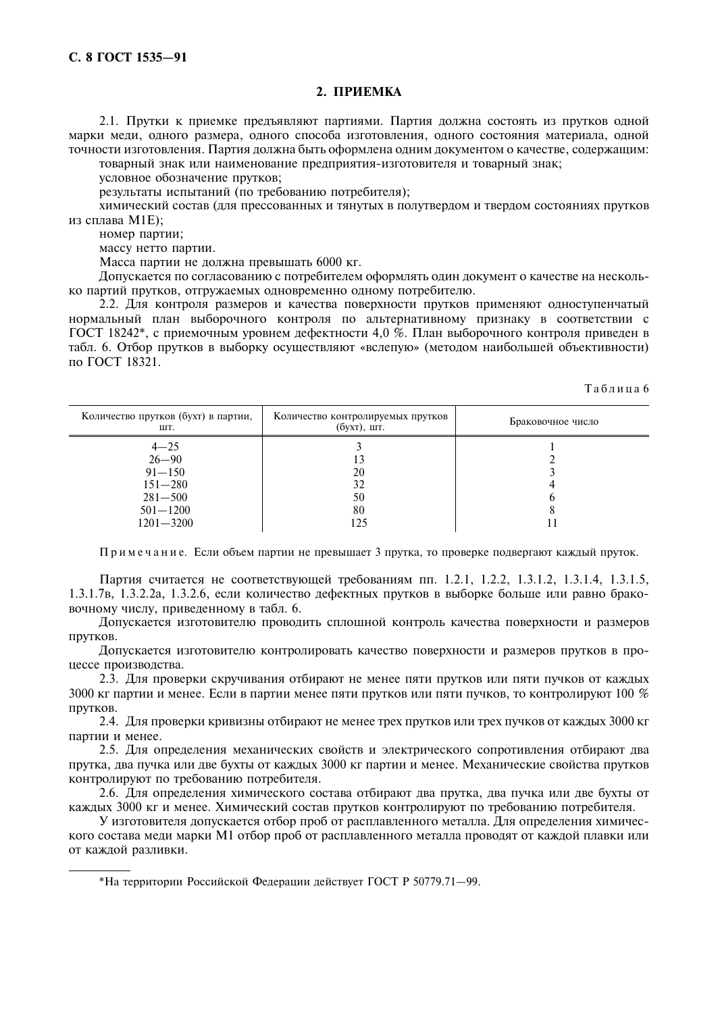#### 2. ПРИЕМКА

2.1. Прутки к приемке предъявляют партиями. Партия должна состоять из прутков одной марки меди, одного размера, одного способа изготовления, одного состояния материала, одной точности изготовления. Партия должна быть оформлена одним документом о качестве, содержащим:

товарный знак или наименование предприятия-изготовителя и товарный знак;

условное обозначение прутков;

результаты испытаний (по требованию потребителя);

химический состав (для прессованных и тянутых в полутвердом и твердом состояниях прутков из сплава M1E):

номер партии;

массу нетто партии.

Масса партии не должна превышать 6000 кг.

Допускается по согласованию с потребителем оформлять один документ о качестве на несколько партий прутков, отгружаемых одновременно одному потребителю.

2.2. Для контроля размеров и качества поверхности прутков применяют одноступенчатый нормальный план выборочного контроля по альтернативному признаку в соответствии с ГОСТ 18242\*, с приемочным уровнем дефектности 4,0 %. План выборочного контроля приведен в табл. 6. Отбор прутков в выборку осуществляют «вслепую» (методом наибольшей объективности) по ГОСТ 18321.

Таблина 6

| Количество прутков (бухт) в партии,<br>ШТ. | Количество контролируемых прутков<br>$(6yxr)$ , шт. | Браковочное число |
|--------------------------------------------|-----------------------------------------------------|-------------------|
| $4 - 25$                                   |                                                     |                   |
| $26 - 90$                                  |                                                     |                   |
| $91 - 150$                                 | 20                                                  |                   |
| $151 - 280$                                | 32                                                  |                   |
| $281 - 500$                                | 50                                                  |                   |
| $501 - 1200$                               | 80                                                  |                   |
| $1201 - 3200$                              |                                                     |                   |

Примечание. Если объем партии не превышает 3 прутка, то проверке подвергают каждый пруток.

Партия считается не соответствующей требованиям пп. 1.2.1, 1.2.2, 1.3.1.2, 1.3.1.4, 1.3.1.5, 1.3.1.7в, 1.3.2.2а, 1.3.2.6, если количество дефектных прутков в выборке больше или равно браковочному числу, приведенному в табл. 6.

Допускается изготовителю проводить сплошной контроль качества поверхности и размеров прутков.

Допускается изготовителю контролировать качество поверхности и размеров прутков в процессе производства.

2.3. Для проверки скручивания отбирают не менее пяти прутков или пяти пучков от кажлых 3000 кг партии и менее. Если в партии менее пяти прутков или пяти пучков, то контролируют 100 % прутков.

2.4. Для проверки кривизны отбирают не менее трех прутков или трех пучков от каждых 3000 кг партии и менее.

2.5. Для определения механических свойств и электрического сопротивления отбирают два прутка, два пучка или две бухты от каждых 3000 кг партии и менее. Механические свойства прутков контролируют по требованию потребителя.

2.6. Для определения химического состава отбирают два прутка, два пучка или две бухты от кажлых 3000 кг и менее. Химический состав прутков контролируют по требованию потребителя.

У изготовителя допускается отбор проб от расплавленного металла. Для определения химического состава меди марки М1 отбор проб от расплавленного металла проводят от каждой плавки или от каждой разливки.

\*На территории Российской Федерации действует ГОСТ Р 50779.71-99.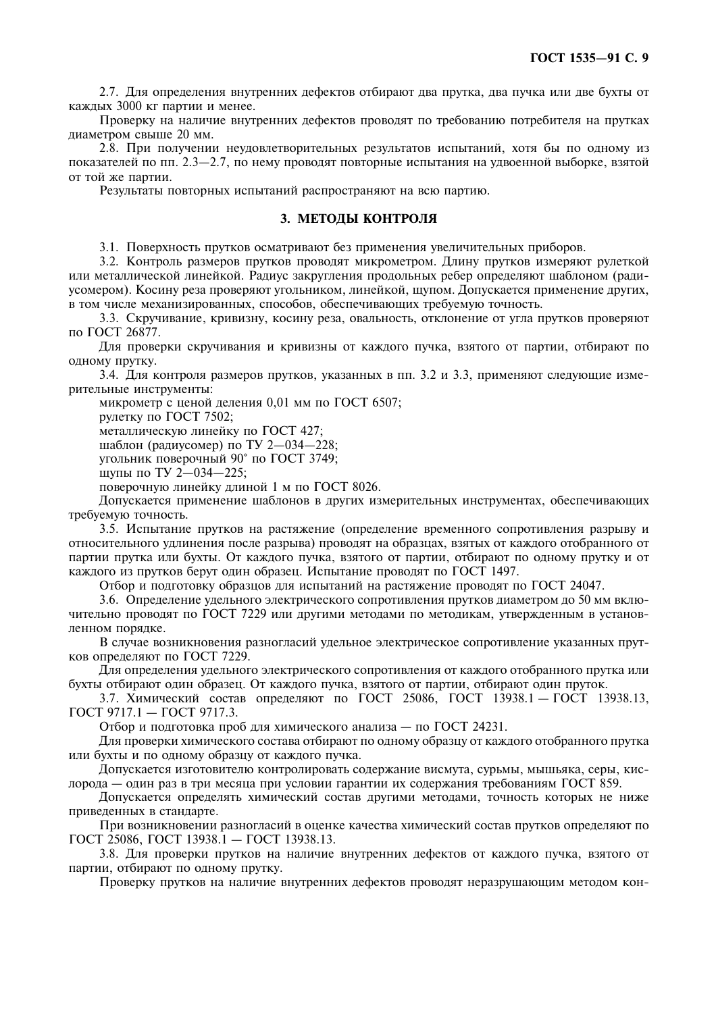2.7. Для определения внутренних дефектов отбирают два прутка, два пучка или две бухты от кажлых 3000 кг партии и менее.

Проверку на наличие внутренних дефектов проводят по требованию потребителя на прутках лиаметром свыше 20 мм.

2.8. При получении неудовлетворительных результатов испытаний, хотя бы по одному из показателей по пп. 2.3–2.7, по нему проводят повторные испытания на удвоенной выборке, взятой от той же партии.

Результаты повторных испытаний распространяют на всю партию.

### 3. МЕТОЛЫ КОНТРОЛЯ

3.1. Поверхность прутков осматривают без применения увеличительных приборов.

3.2. Контроль размеров прутков проводят микрометром. Длину прутков измеряют рулеткой или металлической линейкой. Радиус закругления продольных ребер определяют шаблоном (радиусомером). Косину реза проверяют угольником, линейкой, щупом. Допускается применение других, в том числе механизированных, способов, обеспечивающих требуемую точность.

3.3. Скручивание, кривизну, косину реза, овальность, отклонение от угла прутков проверяют по ГОСТ 26877.

Для проверки скручивания и кривизны от каждого пучка, взятого от партии, отбирают по ОДНОМУ ПРУТКУ.

3.4. Для контроля размеров прутков, указанных в пп. 3.2 и 3.3, применяют следующие измерительные инструменты:

микрометр с ценой деления 0.01 мм по ГОСТ 6507:

рулетку по ГОСТ 7502;

металлическую линейку по ГОСТ 427:

шаблон (радиусомер) по ТУ 2-034-228;

угольник поверочный 90° по ГОСТ 3749:

щупы по ТУ 2-034-225;

поверочную линейку длиной 1 м по ГОСТ 8026.

Допускается применение шаблонов в других измерительных инструментах, обеспечивающих требуемую точность.

3.5. Испытание прутков на растяжение (определение временного сопротивления разрыву и относительного удлинения после разрыва) проводят на образцах, взятых от каждого отобранного от партии прутка или бухты. От каждого пучка, взятого от партии, отбирают по одному прутку и от каждого из прутков берут один образец. Испытание проводят по ГОСТ 1497.

Отбор и подготовку образцов для испытаний на растяжение проводят по ГОСТ 24047.

3.6. Определение удельного электрического сопротивления прутков диаметром до 50 мм включительно проволят по ГОСТ 7229 или другими методами по методикам, утвержденным в установленном порядке.

В случае возникновения разногласий удельное электрическое сопротивление указанных прутков определяют по ГОСТ 7229.

Для определения удельного электрического сопротивления от каждого отобранного прутка или бухты отбирают один образец. От каждого пучка, взятого от партии, отбирают один пруток.

3.7. Химический состав определяют по ГОСТ 25086, ГОСТ 13938.1 - ГОСТ 13938.13,  $\Gamma$ OCT 9717.1 -  $\Gamma$ OCT 9717.3.

Отбор и подготовка проб для химического анализа - по ГОСТ 24231.

Для проверки химического состава отбирают по одному образцу от каждого отобранного прутка или бухты и по одному образцу от каждого пучка.

Допускается изготовителю контролировать содержание висмута, сурьмы, мышьяка, серы, кислорода — один раз в три месяца при условии гарантии их содержания требованиям ГОСТ 859.

Лопускается определять химический состав другими методами, точность которых не ниже приведенных в стандарте.

При возникновении разногласий в оценке качества химический состав прутков определяют по ГОСТ 25086, ГОСТ 13938.1 - ГОСТ 13938.13.

3.8. Для проверки прутков на наличие внутренних дефектов от каждого пучка, взятого от партии, отбирают по олному прутку.

Проверку прутков на наличие внутренних дефектов проводят неразрушающим методом кон-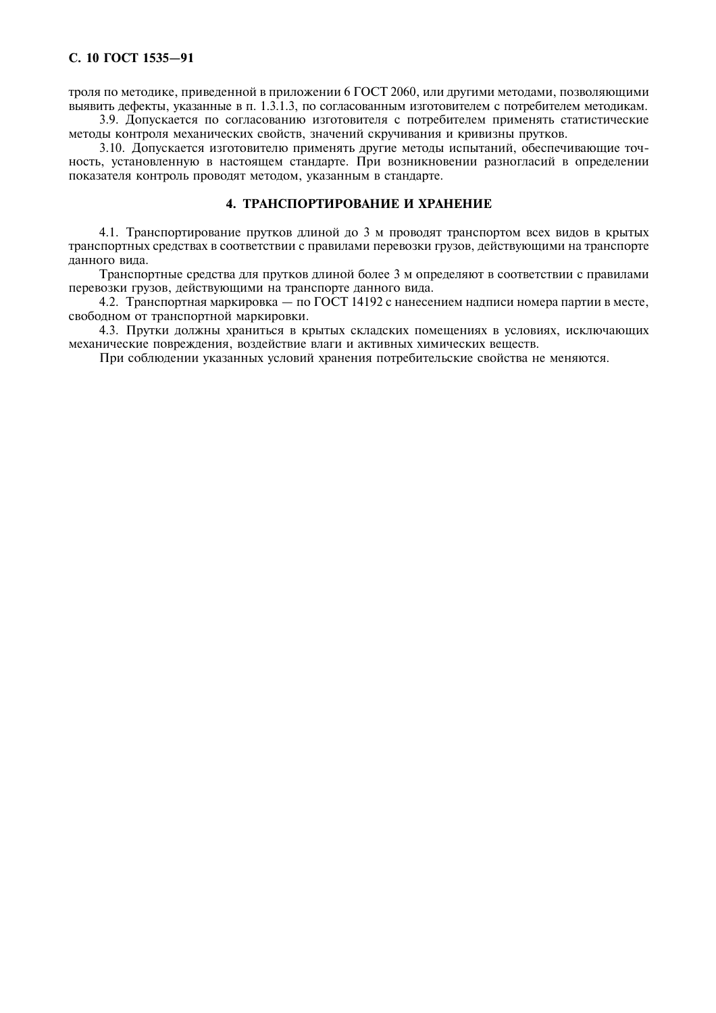троля по методике, приведенной в приложении 6 ГОСТ 2060, или другими методами, позволяющими выявить дефекты, указанные в п. 1.3.1.3, по согласованным изготовителем с потребителем методикам.

3.9. Допускается по согласованию изготовителя с потребителем применять статистические методы контроля механических свойств, значений скручивания и кривизны прутков.

3.10. Допускается изготовителю применять другие методы испытаний, обеспечивающие точность, установленную в настоящем стандарте. При возникновении разногласий в определении показателя контроль проводят методом, указанным в стандарте.

## 4. ТРАНСПОРТИРОВАНИЕ И ХРАНЕНИЕ

4.1. Транспортирование прутков длиной до 3 м проводят транспортом всех видов в крытых транспортных средствах в соответствии с правилами перевозки грузов, действующими на транспорте ланного вила.

Транспортные средства для прутков длиной более 3 м определяют в соответствии с правилами перевозки грузов, действующими на транспорте данного вида.

4.2. Транспортная маркировка — по ГОСТ 14192 с нанесением надписи номера партии в месте, свободном от транспортной маркировки.

4.3. Прутки должны храниться в крытых складских помещениях в условиях, исключающих механические поврежления, возлействие влаги и активных химических вешеств.

При соблюдении указанных условий хранения потребительские свойства не меняются.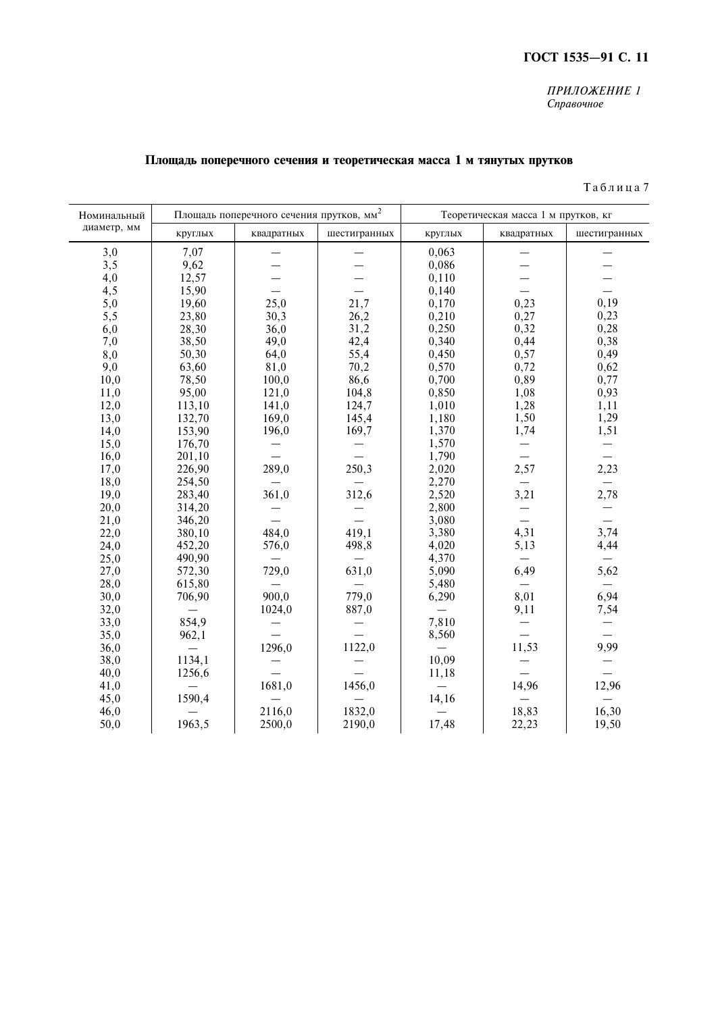## ГОСТ 1535-91 С. 11

#### ПРИЛОЖЕНИЕ 1 Справочное

# Площадь поперечного сечения и теоретическая масса 1 м тянутых прутков

| Номинальный |         | Площадь поперечного сечения прутков, мм <sup>2</sup> |              |         | Теоретическая масса 1 м прутков, кг |              |  |
|-------------|---------|------------------------------------------------------|--------------|---------|-------------------------------------|--------------|--|
| диаметр, мм | круглых | квадратных                                           | шестигранных | круглых | квадратных                          | шестигранных |  |
| 3,0         | 7,07    |                                                      |              | 0,063   |                                     |              |  |
| 3,5         | 9,62    |                                                      |              | 0,086   |                                     |              |  |
| 4,0         | 12,57   |                                                      |              | 0,110   |                                     |              |  |
| 4,5         | 15,90   |                                                      |              | 0,140   |                                     |              |  |
| 5,0         | 19,60   | 25,0                                                 | 21,7         | 0,170   | 0,23                                | 0,19         |  |
| 5,5         | 23,80   | 30,3                                                 | 26,2         | 0,210   | 0,27                                | 0,23         |  |
| 6,0         | 28,30   | 36,0                                                 | 31,2         | 0,250   | 0,32                                | 0,28         |  |
| 7,0         | 38,50   | 49,0                                                 | 42,4         | 0,340   | 0,44                                | 0,38         |  |
| 8,0         | 50,30   | 64,0                                                 | 55,4         | 0,450   | 0,57                                | 0,49         |  |
| 9,0         | 63,60   | 81,0                                                 | 70,2         | 0,570   | 0,72                                | 0,62         |  |
| 10,0        | 78,50   | 100,0                                                | 86,6         | 0,700   | 0,89                                | 0,77         |  |
| 11,0        | 95,00   | 121,0                                                | 104,8        | 0,850   | 1,08                                | 0,93         |  |
| 12,0        | 113,10  | 141,0                                                | 124,7        | 1,010   | 1,28                                | 1,11         |  |
| 13,0        | 132,70  | 169,0                                                | 145,4        | 1,180   | 1,50                                | 1,29         |  |
| 14,0        | 153,90  | 196,0                                                | 169,7        | 1,370   | 1,74                                | 1,51         |  |
| 15,0        | 176,70  |                                                      |              | 1,570   |                                     |              |  |
| 16,0        | 201,10  |                                                      |              | 1,790   |                                     |              |  |
| 17,0        | 226,90  | 289,0                                                | 250,3        | 2,020   | 2,57                                | 2,23         |  |
| 18,0        | 254,50  |                                                      |              | 2,270   | $\overline{\phantom{0}}$            |              |  |
| 19,0        | 283,40  | 361,0                                                | 312,6        | 2,520   | 3,21                                | 2,78         |  |
| 20,0        | 314,20  |                                                      |              | 2,800   |                                     |              |  |
| 21,0        | 346,20  |                                                      |              | 3,080   |                                     |              |  |
| 22,0        | 380,10  | 484,0                                                | 419,1        | 3,380   | 4,31                                | 3,74         |  |
| 24,0        | 452,20  | 576,0                                                | 498,8        | 4,020   | 5,13                                | 4,44         |  |
| 25,0        | 490,90  |                                                      |              | 4,370   |                                     |              |  |
| 27,0        | 572,30  | 729,0                                                | 631,0        | 5,090   | 6,49                                | 5,62         |  |
| 28,0        | 615,80  |                                                      |              | 5,480   |                                     |              |  |
| 30,0        | 706,90  | 900,0                                                | 779,0        | 6,290   | 8,01                                | 6,94         |  |
| 32,0        |         | 1024,0                                               | 887,0        |         | 9,11                                | 7,54         |  |
| 33,0        | 854,9   |                                                      |              | 7,810   |                                     |              |  |
| 35,0        | 962,1   |                                                      |              | 8,560   |                                     |              |  |
| 36,0        |         | 1296,0                                               | 1122,0       |         | 11,53                               | 9,99         |  |
| 38,0        | 1134,1  |                                                      |              | 10,09   |                                     |              |  |
| 40,0        | 1256,6  |                                                      |              | 11,18   |                                     |              |  |
| 41,0        |         | 1681,0                                               | 1456,0       |         | 14,96                               | 12,96        |  |
| 45,0        | 1590,4  |                                                      |              | 14,16   |                                     |              |  |
| 46,0        |         | 2116,0                                               | 1832,0       |         | 18,83                               | 16,30        |  |
| 50,0        | 1963,5  | 2500,0                                               | 2190,0       | 17,48   | 22,23                               | 19,50        |  |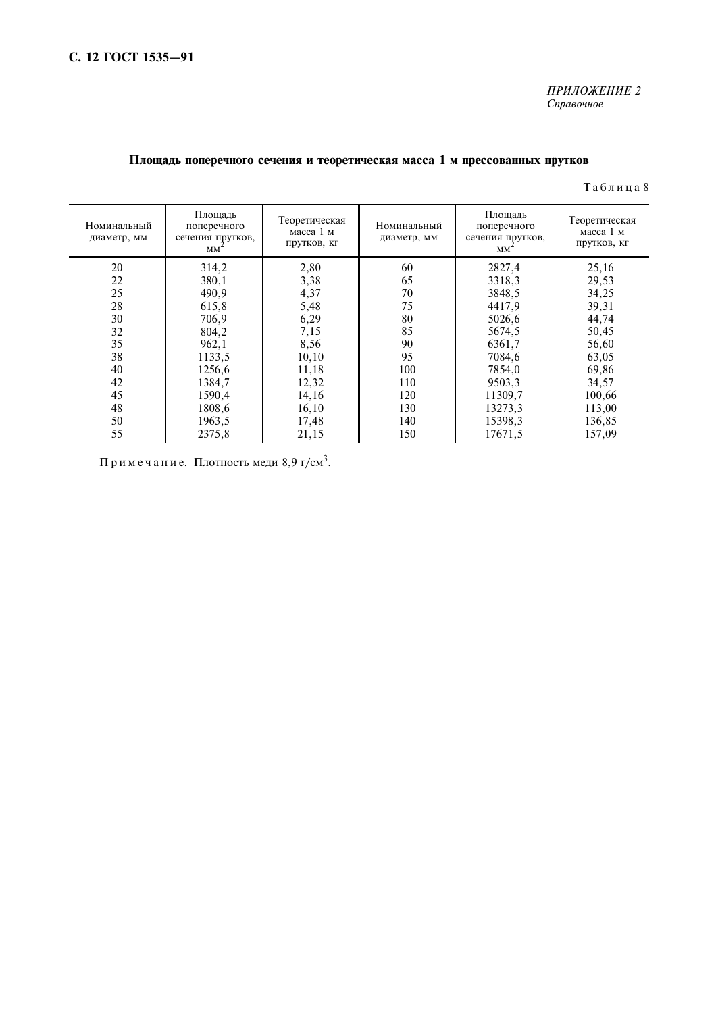### ПРИЛОЖЕНИЕ 2 Справочное

## Площадь поперечного сечения и теоретическая масса 1 м прессованных прутков

#### Таблица 8

| Номинальный<br>диаметр, мм | Площадь<br>поперечного<br>сечения прутков,<br>$MM^2$ | Теоретическая<br>масса 1 м<br>прутков, кг | Номинальный<br>диаметр, мм | Площадь<br>поперечного<br>сечения прутков,<br>$MM^{\sim}$ | Теоретическая<br>масса 1 м<br>прутков, кг |
|----------------------------|------------------------------------------------------|-------------------------------------------|----------------------------|-----------------------------------------------------------|-------------------------------------------|
| 20                         | 314,2                                                | 2,80                                      | 60                         | 2827,4                                                    | 25,16                                     |
| 22                         | 380,1                                                | 3,38                                      | 65                         | 3318,3                                                    | 29,53                                     |
| 25                         | 490,9                                                | 4,37                                      | 70                         | 3848,5                                                    | 34,25                                     |
| 28                         | 615,8                                                | 5,48                                      | 75                         | 4417,9                                                    | 39,31                                     |
| 30                         | 706,9                                                | 6,29                                      | 80                         | 5026,6                                                    | 44,74                                     |
| 32                         | 804,2                                                | 7,15                                      | 85                         | 5674,5                                                    | 50,45                                     |
| 35                         | 962,1                                                | 8,56                                      | 90                         | 6361,7                                                    | 56,60                                     |
| 38                         | 1133,5                                               | 10, 10                                    | 95                         | 7084.6                                                    | 63,05                                     |
| 40                         | 1256,6                                               | 11,18                                     | 100                        | 7854,0                                                    | 69,86                                     |
| 42                         | 1384,7                                               | 12,32                                     | 110                        | 9503,3                                                    | 34,57                                     |
| 45                         | 1590,4                                               | 14,16                                     | 120                        | 11309,7                                                   | 100,66                                    |
| 48                         | 1808,6                                               | 16,10                                     | 130                        | 13273,3                                                   | 113,00                                    |
| 50                         | 1963,5                                               | 17,48                                     | 140                        | 15398,3                                                   | 136,85                                    |
| 55                         | 2375,8                                               | 21,15                                     | 150                        | 17671,5                                                   | 157,09                                    |

Примечание. Плотность меди 8,9 г/см<sup>3</sup>.